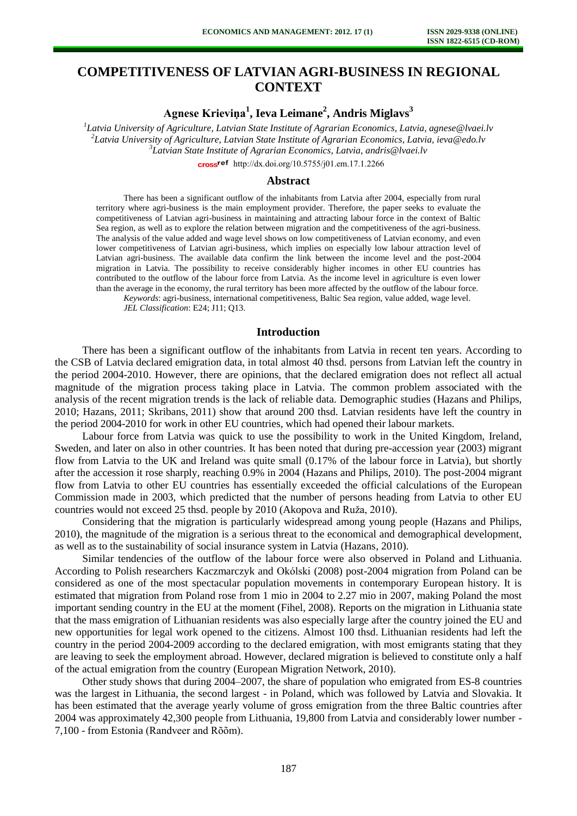# **COMPETITIVENESS OF LATVIAN AGRI-BUSINESS IN REGIONAL CONTEXT**

**Agnese Krieviņa<sup>1</sup> , Ieva Leimane<sup>2</sup> , Andris Miglavs<sup>3</sup>**

 *Latvia University of Agriculture, Latvian State Institute of Agrarian Economics, Latvia, agnese@lvaei.lv Latvia University of Agriculture, Latvian State Institute of Agrarian Economics, Latvia, ieva@edo.lv Latvian State Institute of Agrarian Economics, Latvia, andris@lvaei.lv*  cross<sup>ref</sup> [http://dx.doi.org/10.5755/j01.e](http://dx.doi.org/10.5755/j01.em.17.1.2266)m.17.1.2266

#### **Abstract**

There has been a significant outflow of the inhabitants from Latvia after 2004, especially from rural territory where agri-business is the main employment provider. Therefore, the paper seeks to evaluate the competitiveness of Latvian agri-business in maintaining and attracting labour force in the context of Baltic Sea region, as well as to explore the relation between migration and the competitiveness of the agri-business. The analysis of the value added and wage level shows on low competitiveness of Latvian economy, and even lower competitiveness of Latvian agri-business, which implies on especially low labour attraction level of Latvian agri-business. The available data confirm the link between the income level and the post-2004 migration in Latvia. The possibility to receive considerably higher incomes in other EU countries has contributed to the outflow of the labour force from Latvia. As the income level in agriculture is even lower than the average in the economy, the rural territory has been more affected by the outflow of the labour force.

*Keywords*: agri-business, international competitiveness, Baltic Sea region, value added, wage level. *JEL Classification*: E24; J11; Q13.

#### **Introduction**

There has been a significant outflow of the inhabitants from Latvia in recent ten years. According to the CSB of Latvia declared emigration data, in total almost 40 thsd. persons from Latvian left the country in the period 2004-2010. However, there are opinions, that the declared emigration does not reflect all actual magnitude of the migration process taking place in Latvia. The common problem associated with the analysis of the recent migration trends is the lack of reliable data. Demographic studies (Hazans and Philips, 2010; Hazans, 2011; Skribans, 2011) show that around 200 thsd. Latvian residents have left the country in the period 2004-2010 for work in other EU countries, which had opened their labour markets.

Labour force from Latvia was quick to use the possibility to work in the United Kingdom, Ireland, Sweden, and later on also in other countries. It has been noted that during pre-accession year (2003) migrant flow from Latvia to the UK and Ireland was quite small (0.17% of the labour force in Latvia), but shortly after the accession it rose sharply, reaching 0.9% in 2004 (Hazans and Philips, 2010). The post-2004 migrant flow from Latvia to other EU countries has essentially exceeded the official calculations of the European Commission made in 2003, which predicted that the number of persons heading from Latvia to other EU countries would not exceed 25 thsd. people by 2010 (Akopova and Ruža, 2010).

Considering that the migration is particularly widespread among young people (Hazans and Philips, 2010), the magnitude of the migration is a serious threat to the economical and demographical development, as well as to the sustainability of social insurance system in Latvia (Hazans, 2010).

Similar tendencies of the outflow of the labour force were also observed in Poland and Lithuania. According to Polish researchers Kaczmarczyk and Okólski (2008) post-2004 migration from Poland can be considered as one of the most spectacular population movements in contemporary European history. It is estimated that migration from Poland rose from 1 mio in 2004 to 2.27 mio in 2007, making Poland the most important sending country in the EU at the moment (Fihel, 2008). Reports on the migration in Lithuania state that the mass emigration of Lithuanian residents was also especially large after the country joined the EU and new opportunities for legal work opened to the citizens. Almost 100 thsd. Lithuanian residents had left the country in the period 2004-2009 according to the declared emigration, with most emigrants stating that they are leaving to seek the employment abroad. However, declared migration is believed to constitute only a half of the actual emigration from the country (European Migration Network, 2010).

Other study shows that during 2004–2007, the share of population who emigrated from ES-8 countries was the largest in Lithuania, the second largest - in Poland, which was followed by Latvia and Slovakia. It has been estimated that the average yearly volume of gross emigration from the three Baltic countries after 2004 was approximately 42,300 people from Lithuania, 19,800 from Latvia and considerably lower number - 7,100 - from Estonia (Randveer and Rõõm).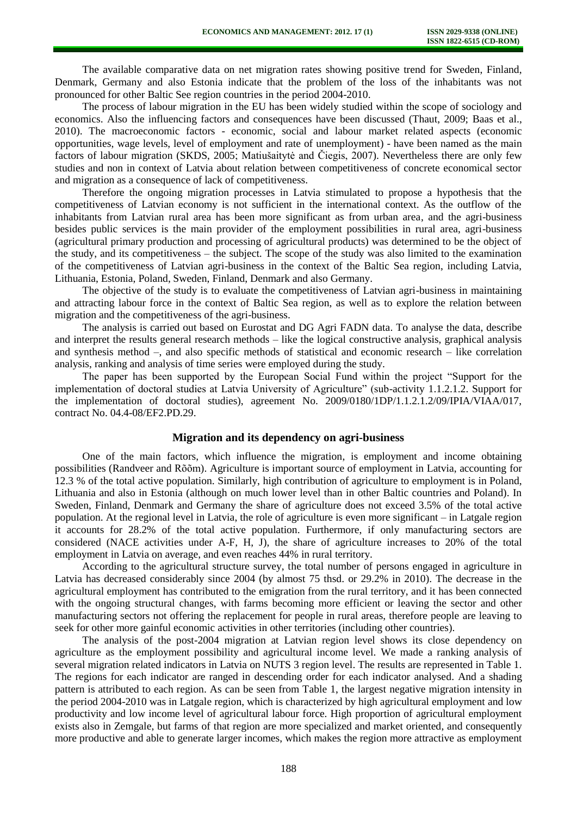The available comparative data on net migration rates showing positive trend for Sweden, Finland, Denmark, Germany and also Estonia indicate that the problem of the loss of the inhabitants was not pronounced for other Baltic See region countries in the period 2004-2010.

The process of labour migration in the EU has been widely studied within the scope of sociology and economics. Also the influencing factors and consequences have been discussed (Thaut, 2009; Baas et al., 2010). The macroeconomic factors - economic, social and labour market related aspects (economic opportunities, wage levels, level of employment and rate of unemployment) - have been named as the main factors of labour migration (SKDS, 2005; Matiušaitytė and Čiegis, 2007). Nevertheless there are only few studies and non in context of Latvia about relation between competitiveness of concrete economical sector and migration as a consequence of lack of competitiveness.

Therefore the ongoing migration processes in Latvia stimulated to propose a hypothesis that the competitiveness of Latvian economy is not sufficient in the international context. As the outflow of the inhabitants from Latvian rural area has been more significant as from urban area, and the agri-business besides public services is the main provider of the employment possibilities in rural area, agri-business (agricultural primary production and processing of agricultural products) was determined to be the object of the study, and its competitiveness – the subject. The scope of the study was also limited to the examination of the competitiveness of Latvian agri-business in the context of the Baltic Sea region, including Latvia, Lithuania, Estonia, Poland, Sweden, Finland, Denmark and also Germany.

The objective of the study is to evaluate the competitiveness of Latvian agri-business in maintaining and attracting labour force in the context of Baltic Sea region, as well as to explore the relation between migration and the competitiveness of the agri-business.

The analysis is carried out based on Eurostat and DG Agri FADN data. To analyse the data, describe and interpret the results general research methods – like the logical constructive analysis, graphical analysis and synthesis method –, and also specific methods of statistical and economic research – like correlation analysis, ranking and analysis of time series were employed during the study.

The paper has been supported by the European Social Fund within the project "Support for the implementation of doctoral studies at Latvia University of Agriculture" (sub-activity 1.1.2.1.2. Support for the implementation of doctoral studies), agreement No. 2009/0180/1DP/1.1.2.1.2/09/IPIA/VIAA/017, contract No. 04.4-08/EF2.PD.29.

#### **Migration and its dependency on agri-business**

One of the main factors, which influence the migration, is employment and income obtaining possibilities (Randveer and Rõõm). Agriculture is important source of employment in Latvia, accounting for 12.3 % of the total active population. Similarly, high contribution of agriculture to employment is in Poland, Lithuania and also in Estonia (although on much lower level than in other Baltic countries and Poland). In Sweden, Finland, Denmark and Germany the share of agriculture does not exceed 3.5% of the total active population. At the regional level in Latvia, the role of agriculture is even more significant – in Latgale region it accounts for 28.2% of the total active population. Furthermore, if only manufacturing sectors are considered (NACE activities under A-F, H, J), the share of agriculture increases to 20% of the total employment in Latvia on average, and even reaches 44% in rural territory.

According to the agricultural structure survey, the total number of persons engaged in agriculture in Latvia has decreased considerably since 2004 (by almost 75 thsd. or 29.2% in 2010). The decrease in the agricultural employment has contributed to the emigration from the rural territory, and it has been connected with the ongoing structural changes, with farms becoming more efficient or leaving the sector and other manufacturing sectors not offering the replacement for people in rural areas, therefore people are leaving to seek for other more gainful economic activities in other territories (including other countries).

The analysis of the post-2004 migration at Latvian region level shows its close dependency on agriculture as the employment possibility and agricultural income level. We made a ranking analysis of several migration related indicators in Latvia on NUTS 3 region level. The results are represented in Table 1. The regions for each indicator are ranged in descending order for each indicator analysed. And a shading pattern is attributed to each region. As can be seen from Table 1, the largest negative migration intensity in the period 2004-2010 was in Latgale region, which is characterized by high agricultural employment and low productivity and low income level of agricultural labour force. High proportion of agricultural employment exists also in Zemgale, but farms of that region are more specialized and market oriented, and consequently more productive and able to generate larger incomes, which makes the region more attractive as employment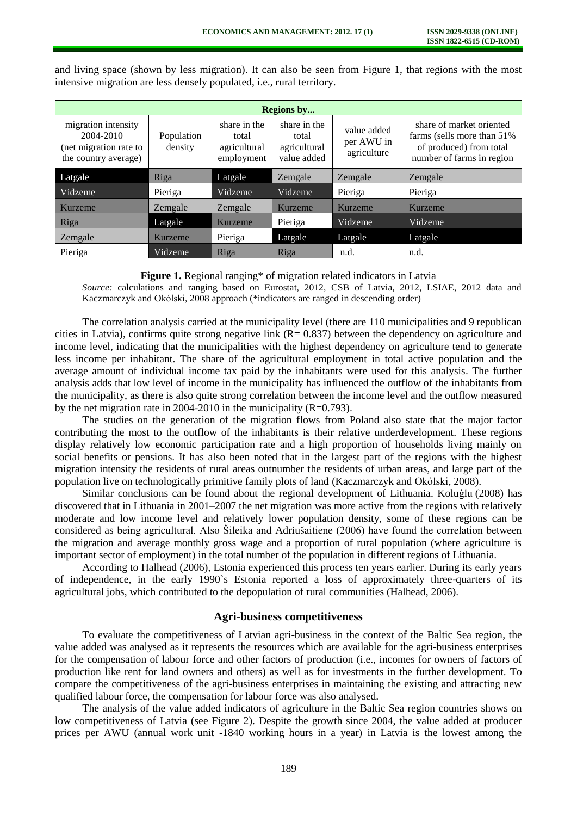**Regions by...** migration intensity 2004-2010 (net migration rate to the country average) Population density share in the total agricultural employment share in the total agricultural value added value added per AWU in agriculture share of market oriented farms (sells more than 51% of produced) from total number of farms in region Latgale Riga Latgale Zemgale Zemgale Zemgale Zemgale Zemgale Vidzeme Pieriga Vidzeme Vidzeme Pieriga Pieriga Kurzeme Zemgale Zemgale Kurzeme Kurzeme Kurzeme Riga **Latgale Kurzeme Pieriga** Vidzeme Vidzeme Zemgale Kurzeme Pieriga Latgale Latgale Latgale Pieriga Vidzeme Riga Riga n.d. n.d. n.d.

and living space (shown by less migration). It can also be seen from Figure 1, that regions with the most intensive migration are less densely populated, i.e., rural territory.

#### **Figure 1.** Regional ranging\* of migration related indicators in Latvia

*Source:* calculations and ranging based on Eurostat, 2012, CSB of Latvia, 2012, LSIAE, 2012 data and Kaczmarczyk and Okólski, 2008 approach (\*indicators are ranged in descending order)

The correlation analysis carried at the municipality level (there are 110 municipalities and 9 republican cities in Latvia), confirms quite strong negative link  $(R= 0.837)$  between the dependency on agriculture and income level, indicating that the municipalities with the highest dependency on agriculture tend to generate less income per inhabitant. The share of the agricultural employment in total active population and the average amount of individual income tax paid by the inhabitants were used for this analysis. The further analysis adds that low level of income in the municipality has influenced the outflow of the inhabitants from the municipality, as there is also quite strong correlation between the income level and the outflow measured by the net migration rate in 2004-2010 in the municipality  $(R=0.793)$ .

The studies on the generation of the migration flows from Poland also state that the major factor contributing the most to the outflow of the inhabitants is their relative underdevelopment. These regions display relatively low economic participation rate and a high proportion of households living mainly on social benefits or pensions. It has also been noted that in the largest part of the regions with the highest migration intensity the residents of rural areas outnumber the residents of urban areas, and large part of the population live on technologically primitive family plots of land (Kaczmarczyk and Okólski, 2008).

Similar conclusions can be found about the regional development of Lithuania. Koluģlu (2008) has discovered that in Lithuania in 2001–2007 the net migration was more active from the regions with relatively moderate and low income level and relatively lower population density, some of these regions can be considered as being agricultural. Also Šileika and Adriušaitiene (2006) have found the correlation between the migration and average monthly gross wage and a proportion of rural population (where agriculture is important sector of employment) in the total number of the population in different regions of Lithuania.

According to Halhead (2006), Estonia experienced this process ten years earlier. During its early years of independence, in the early 1990`s Estonia reported a loss of approximately three-quarters of its agricultural jobs, which contributed to the depopulation of rural communities (Halhead, 2006).

## **Agri-business competitiveness**

To evaluate the competitiveness of Latvian agri-business in the context of the Baltic Sea region, the value added was analysed as it represents the resources which are available for the agri-business enterprises for the compensation of labour force and other factors of production (i.e., incomes for owners of factors of production like rent for land owners and others) as well as for investments in the further development. To compare the competitiveness of the agri-business enterprises in maintaining the existing and attracting new qualified labour force, the compensation for labour force was also analysed.

The analysis of the value added indicators of agriculture in the Baltic Sea region countries shows on low competitiveness of Latvia (see Figure 2). Despite the growth since 2004, the value added at producer prices per AWU (annual work unit -1840 working hours in a year) in Latvia is the lowest among the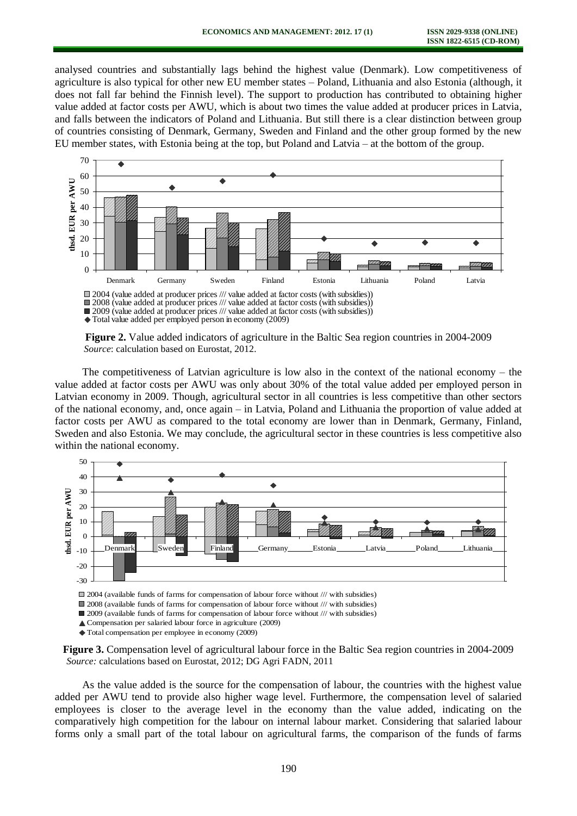analysed countries and substantially lags behind the highest value (Denmark). Low competitiveness of agriculture is also typical for other new EU member states – Poland, Lithuania and also Estonia (although, it does not fall far behind the Finnish level). The support to production has contributed to obtaining higher value added at factor costs per AWU, which is about two times the value added at producer prices in Latvia, and falls between the indicators of Poland and Lithuania. But still there is a clear distinction between group of countries consisting of Denmark, Germany, Sweden and Finland and the other group formed by the new EU member states, with Estonia being at the top, but Poland and Latvia – at the bottom of the group.



2009 (value added at producer prices /// value added at factor costs (with subsidies))

Total value added per employed person in economy (2009)

**Figure 2.** Value added indicators of agriculture in the Baltic Sea region countries in 2004-2009 *Source*: calculation based on Eurostat, 2012.

The competitiveness of Latvian agriculture is low also in the context of the national economy – the value added at factor costs per AWU was only about 30% of the total value added per employed person in Latvian economy in 2009. Though, agricultural sector in all countries is less competitive than other sectors of the national economy, and, once again – in Latvia, Poland and Lithuania the proportion of value added at factor costs per AWU as compared to the total economy are lower than in Denmark, Germany, Finland, Sweden and also Estonia. We may conclude, the agricultural sector in these countries is less competitive also within the national economy.



2004 (available funds of farms for compensation of labour force without /// with subsidies)

2008 (available funds of farms for compensation of labour force without /// with subsidies)

2009 (available funds of farms for compensation of labour force without /// with subsidies)

Compensation per salaried labour force in agriculture (2009)

Total compensation per employee in economy (2009)

**Figure 3.** Compensation level of agricultural labour force in the Baltic Sea region countries in 2004-2009 *Source:* calculations based on Eurostat, 2012; DG Agri FADN, 2011

As the value added is the source for the compensation of labour, the countries with the highest value added per AWU tend to provide also higher wage level. Furthermore, the compensation level of salaried employees is closer to the average level in the economy than the value added, indicating on the comparatively high competition for the labour on internal labour market. Considering that salaried labour forms only a small part of the total labour on agricultural farms, the comparison of the funds of farms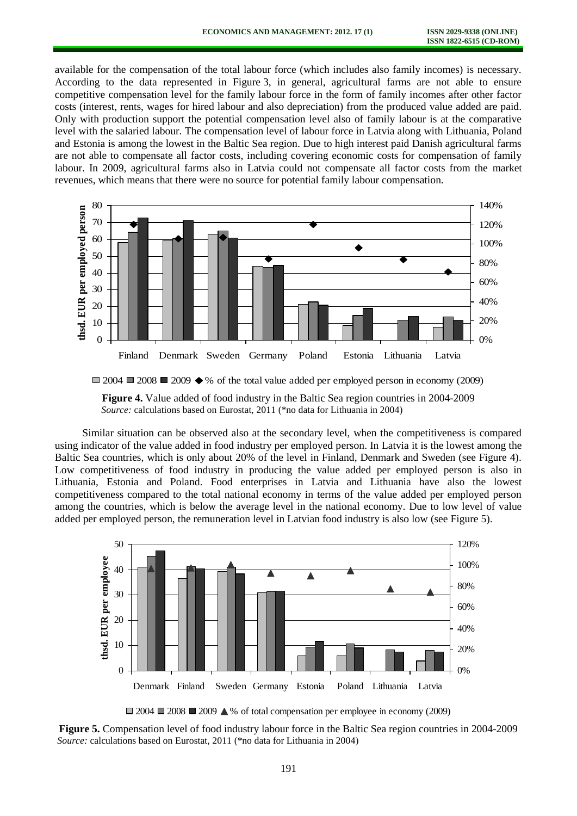available for the compensation of the total labour force (which includes also family incomes) is necessary. According to the data represented in Figure 3, in general, agricultural farms are not able to ensure competitive compensation level for the family labour force in the form of family incomes after other factor costs (interest, rents, wages for hired labour and also depreciation) from the produced value added are paid. Only with production support the potential compensation level also of family labour is at the comparative level with the salaried labour. The compensation level of labour force in Latvia along with Lithuania, Poland and Estonia is among the lowest in the Baltic Sea region. Due to high interest paid Danish agricultural farms are not able to compensate all factor costs, including covering economic costs for compensation of family labour. In 2009, agricultural farms also in Latvia could not compensate all factor costs from the market revenues, which means that there were no source for potential family labour compensation.





**Figure 4.** Value added of food industry in the Baltic Sea region countries in 2004-2009 *Source:* calculations based on Eurostat, 2011 (\*no data for Lithuania in 2004)

Similar situation can be observed also at the secondary level, when the competitiveness is compared using indicator of the value added in food industry per employed person. In Latvia it is the lowest among the Baltic Sea countries, which is only about 20% of the level in Finland, Denmark and Sweden (see Figure 4). Low competitiveness of food industry in producing the value added per employed person is also in Lithuania, Estonia and Poland. Food enterprises in Latvia and Lithuania have also the lowest competitiveness compared to the total national economy in terms of the value added per employed person among the countries, which is below the average level in the national economy. Due to low level of value added per employed person, the remuneration level in Latvian food industry is also low (see Figure 5).



 $\Box$  2004  $\Box$  2008  $\Box$  2009  $\triangle$ % of total compensation per employee in economy (2009)

**Figure 5.** Compensation level of food industry labour force in the Baltic Sea region countries in 2004-2009  *Source:* calculations based on Eurostat, 2011 (\*no data for Lithuania in 2004)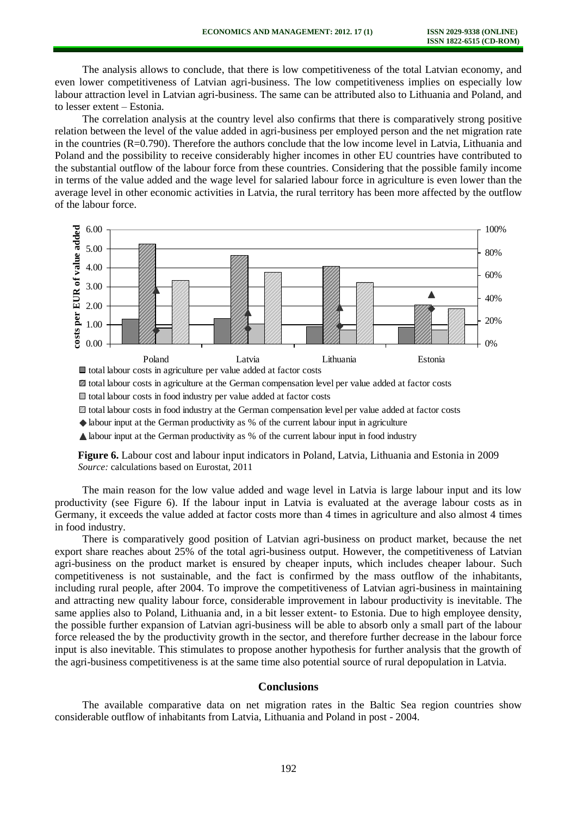The analysis allows to conclude, that there is low competitiveness of the total Latvian economy, and even lower competitiveness of Latvian agri-business. The low competitiveness implies on especially low labour attraction level in Latvian agri-business. The same can be attributed also to Lithuania and Poland, and to lesser extent – Estonia.

The correlation analysis at the country level also confirms that there is comparatively strong positive relation between the level of the value added in agri-business per employed person and the net migration rate in the countries (R=0.790). Therefore the authors conclude that the low income level in Latvia, Lithuania and Poland and the possibility to receive considerably higher incomes in other EU countries have contributed to the substantial outflow of the labour force from these countries. Considering that the possible family income in terms of the value added and the wage level for salaried labour force in agriculture is even lower than the average level in other economic activities in Latvia, the rural territory has been more affected by the outflow of the labour force.



total labour costs in agriculture at the German compensation level per value added at factor costs

 $\Box$  total labour costs in food industry per value added at factor costs

total labour costs in food industry at the German compensation level per value added at factor costs

labour input at the German productivity as % of the current labour input in agriculture

labour input at the German productivity as % of the current labour input in food industry

**Figure 6.** Labour cost and labour input indicators in Poland, Latvia, Lithuania and Estonia in 2009 *Source:* calculations based on Eurostat, 2011

The main reason for the low value added and wage level in Latvia is large labour input and its low productivity (see Figure 6). If the labour input in Latvia is evaluated at the average labour costs as in Germany, it exceeds the value added at factor costs more than 4 times in agriculture and also almost 4 times in food industry.

There is comparatively good position of Latvian agri-business on product market, because the net export share reaches about 25% of the total agri-business output. However, the competitiveness of Latvian agri-business on the product market is ensured by cheaper inputs, which includes cheaper labour. Such competitiveness is not sustainable, and the fact is confirmed by the mass outflow of the inhabitants, including rural people, after 2004. To improve the competitiveness of Latvian agri-business in maintaining and attracting new quality labour force, considerable improvement in labour productivity is inevitable. The same applies also to Poland, Lithuania and, in a bit lesser extent- to Estonia. Due to high employee density, the possible further expansion of Latvian agri-business will be able to absorb only a small part of the labour force released the by the productivity growth in the sector, and therefore further decrease in the labour force input is also inevitable. This stimulates to propose another hypothesis for further analysis that the growth of the agri-business competitiveness is at the same time also potential source of rural depopulation in Latvia.

# **Conclusions**

The available comparative data on net migration rates in the Baltic Sea region countries show considerable outflow of inhabitants from Latvia, Lithuania and Poland in post - 2004.